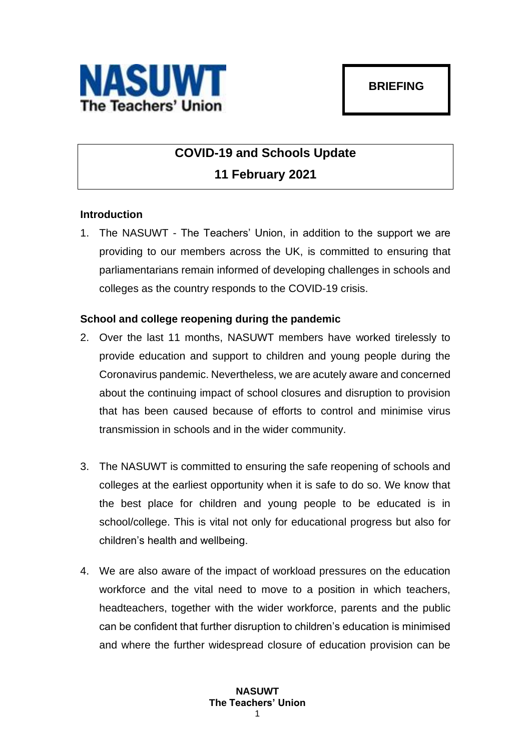

## **COVID-19 and Schools Update 11 February 2021**

## **Introduction**

1. The NASUWT - The Teachers' Union, in addition to the support we are providing to our members across the UK, is committed to ensuring that parliamentarians remain informed of developing challenges in schools and colleges as the country responds to the COVID-19 crisis.

## **School and college reopening during the pandemic**

- 2. Over the last 11 months, NASUWT members have worked tirelessly to provide education and support to children and young people during the Coronavirus pandemic. Nevertheless, we are acutely aware and concerned about the continuing impact of school closures and disruption to provision that has been caused because of efforts to control and minimise virus transmission in schools and in the wider community.
- 3. The NASUWT is committed to ensuring the safe reopening of schools and colleges at the earliest opportunity when it is safe to do so. We know that the best place for children and young people to be educated is in school/college. This is vital not only for educational progress but also for children's health and wellbeing.
- 4. We are also aware of the impact of workload pressures on the education workforce and the vital need to move to a position in which teachers, headteachers, together with the wider workforce, parents and the public can be confident that further disruption to children's education is minimised and where the further widespread closure of education provision can be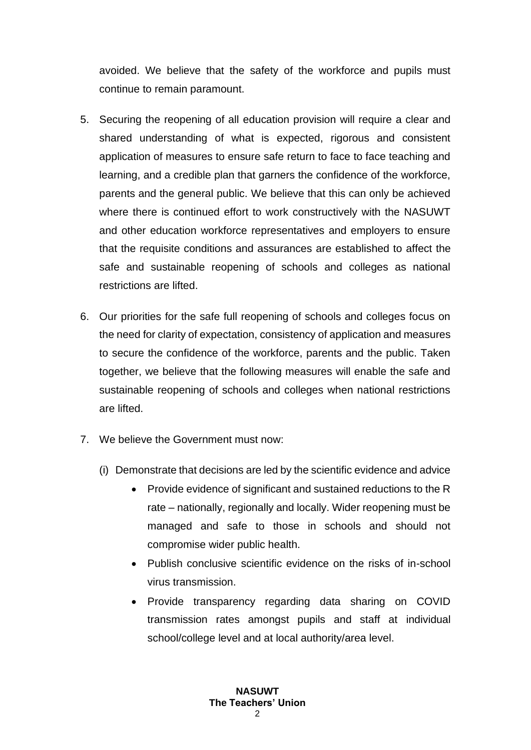avoided. We believe that the safety of the workforce and pupils must continue to remain paramount.

- 5. Securing the reopening of all education provision will require a clear and shared understanding of what is expected, rigorous and consistent application of measures to ensure safe return to face to face teaching and learning, and a credible plan that garners the confidence of the workforce, parents and the general public. We believe that this can only be achieved where there is continued effort to work constructively with the NASUWT and other education workforce representatives and employers to ensure that the requisite conditions and assurances are established to affect the safe and sustainable reopening of schools and colleges as national restrictions are lifted.
- 6. Our priorities for the safe full reopening of schools and colleges focus on the need for clarity of expectation, consistency of application and measures to secure the confidence of the workforce, parents and the public. Taken together, we believe that the following measures will enable the safe and sustainable reopening of schools and colleges when national restrictions are lifted.
- 7. We believe the Government must now:
	- (i) Demonstrate that decisions are led by the scientific evidence and advice
		- Provide evidence of significant and sustained reductions to the R rate – nationally, regionally and locally. Wider reopening must be managed and safe to those in schools and should not compromise wider public health.
		- Publish conclusive scientific evidence on the risks of in-school virus transmission.
		- Provide transparency regarding data sharing on COVID transmission rates amongst pupils and staff at individual school/college level and at local authority/area level.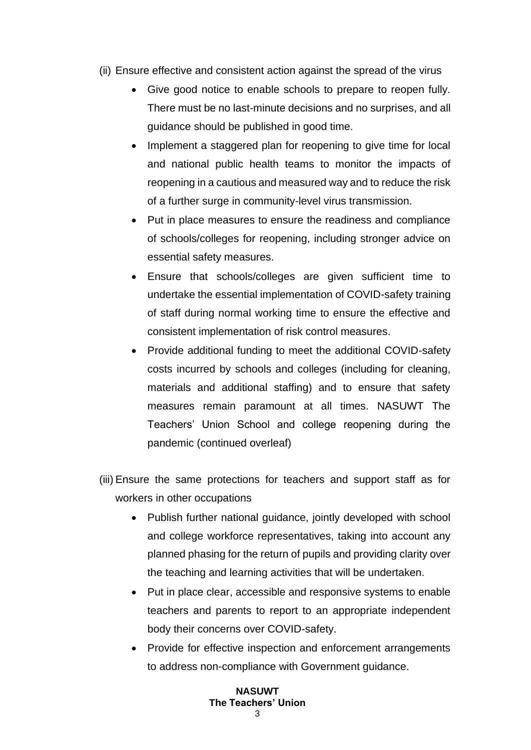- (ii) Ensure effective and consistent action against the spread of the virus
	- Give good notice to enable schools to prepare to reopen fully. There must be no last-minute decisions and no surprises, and all guidance should be published in good time.
	- Implement a staggered plan for reopening to give time for local and national public health teams to monitor the impacts of reopening in a cautious and measured way and to reduce the risk of a further surge in community-level virus transmission.
	- Put in place measures to ensure the readiness and compliance of schools/colleges for reopening, including stronger advice on essential safety measures.
	- Ensure that schools/colleges are given sufficient time to undertake the essential implementation of COVID-safety training of staff during normal working time to ensure the effective and consistent implementation of risk control measures.
	- Provide additional funding to meet the additional COVID-safety costs incurred by schools and colleges (including for cleaning, materials and additional staffing) and to ensure that safety measures remain paramount at all times. NASUWT The Teachers' Union School and college reopening during the pandemic (continued overleaf)
- (iii) Ensure the same protections for teachers and support staff as for workers in other occupations
	- Publish further national guidance, jointly developed with school and college workforce representatives, taking into account any planned phasing for the return of pupils and providing clarity over the teaching and learning activities that will be undertaken.
	- Put in place clear, accessible and responsive systems to enable teachers and parents to report to an appropriate independent body their concerns over COVID-safety.
	- Provide for effective inspection and enforcement arrangements to address non-compliance with Government guidance.

## **NASUWT The Teachers' Union**  $\mathbf{c}$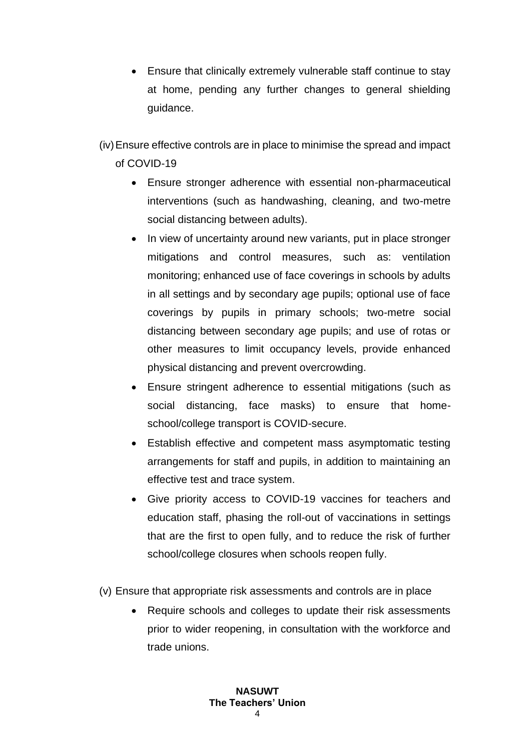• Ensure that clinically extremely vulnerable staff continue to stay at home, pending any further changes to general shielding guidance.

(iv)Ensure effective controls are in place to minimise the spread and impact of COVID-19

- Ensure stronger adherence with essential non-pharmaceutical interventions (such as handwashing, cleaning, and two-metre social distancing between adults).
- In view of uncertainty around new variants, put in place stronger mitigations and control measures, such as: ventilation monitoring; enhanced use of face coverings in schools by adults in all settings and by secondary age pupils; optional use of face coverings by pupils in primary schools; two-metre social distancing between secondary age pupils; and use of rotas or other measures to limit occupancy levels, provide enhanced physical distancing and prevent overcrowding.
- Ensure stringent adherence to essential mitigations (such as social distancing, face masks) to ensure that homeschool/college transport is COVID-secure.
- Establish effective and competent mass asymptomatic testing arrangements for staff and pupils, in addition to maintaining an effective test and trace system.
- Give priority access to COVID-19 vaccines for teachers and education staff, phasing the roll-out of vaccinations in settings that are the first to open fully, and to reduce the risk of further school/college closures when schools reopen fully.
- (v) Ensure that appropriate risk assessments and controls are in place
	- Require schools and colleges to update their risk assessments prior to wider reopening, in consultation with the workforce and trade unions.